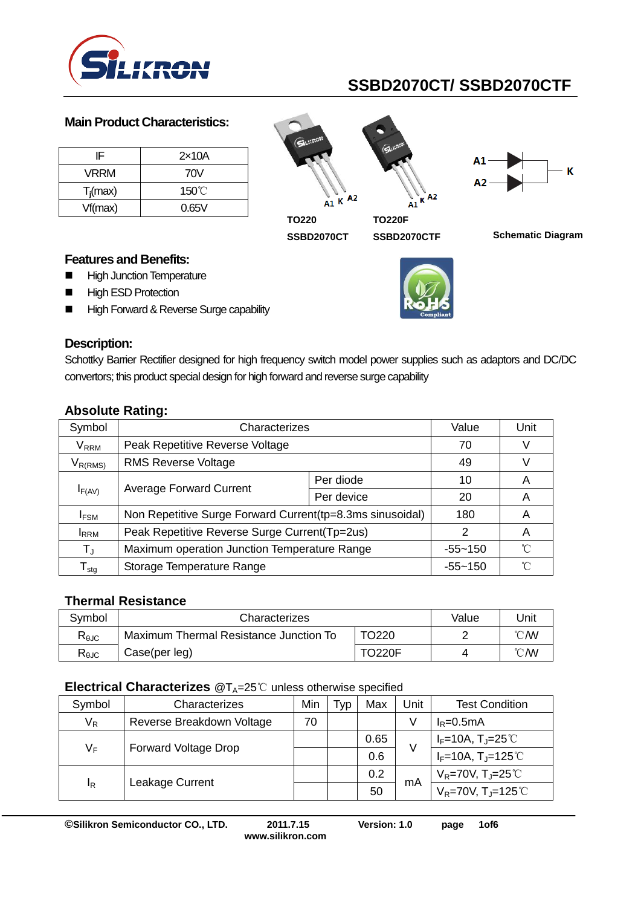

#### **Main Product Characteristics:**

| IF          | $2\times10A$    |
|-------------|-----------------|
| VRRM        | 70V             |
| $T_i$ (max) | $150^{\circ}$ C |
| Vf(max)     | 0.65V           |

 $A1 K$  A2 A1 **TO220F**





**TO220**

**SSBD2070CTF**

**SSBD2070CT Schematic Diagram**

### **Features and Benefits:**

- **High Junction Temperature**
- **High ESD Protection**
- High Forward & Reverse Surge capability



#### **Description:**

Schottky Barrier Rectifier designed for high frequency switch model power supplies such as adaptors and DC/DC convertors; this product special design for high forward and reverse surge capability

| Symbol                  | Characterizes                                              | Value       | Unit |   |
|-------------------------|------------------------------------------------------------|-------------|------|---|
| <b>V</b> <sub>RRM</sub> | Peak Repetitive Reverse Voltage                            | 70          |      |   |
| $V_{R(RMS)}$            | <b>RMS Reverse Voltage</b>                                 | 49          |      |   |
|                         |                                                            | Per diode   | 10   | A |
| $I_{F(AV)}$             | <b>Average Forward Current</b>                             | Per device  | 20   | A |
| <b>IFSM</b>             | Non Repetitive Surge Forward Current (tp=8.3ms sinusoidal) | 180         | Α    |   |
| <b>I</b> RRM            | Peak Repetitive Reverse Surge Current(Tp=2us)              | 2           | A    |   |
| $T_{\rm J}$             | Maximum operation Junction Temperature Range               | $-55 - 150$ | °∩°  |   |
| l <sub>stq</sub>        | Storage Temperature Range                                  | $-55 - 150$ | ิ′∩  |   |

#### **Thermal Resistance**

| Svmbol                         | Characterizes                          | Value         | Unit |    |
|--------------------------------|----------------------------------------|---------------|------|----|
| $\mathsf{R}_{\Theta\text{JC}}$ | Maximum Thermal Resistance Junction To |               | ℃W   |    |
| $R_{\theta \text{JC}}$         | Case(per leg)                          | <b>TO220F</b> |      | ℃W |

#### **Electrical Characterizes** @T<sub>A</sub>=25℃ unless otherwise specified

| Symbol | Characterizes               | Min | Typ | Max  | Jnit | <b>Test Condition</b>             |
|--------|-----------------------------|-----|-----|------|------|-----------------------------------|
| $V_R$  | Reverse Breakdown Voltage   | 70  |     |      | V    | $I_R = 0.5mA$                     |
| $V_F$  | <b>Forward Voltage Drop</b> |     |     | 0.65 | V    | $I_F=10A$ , $T_J=25^{\circ}$ C    |
|        |                             |     |     | 0.6  |      | $I_F=10A, T_J=125°C$              |
| ΙŖ     | Leakage Current             |     |     | 0.2  | mA   | $V_R$ =70V, T <sub>J</sub> =25°C  |
|        |                             |     |     | 50   |      | $V_R$ =70V, T <sub>J</sub> =125°C |

**©Silikron Semiconductor CO., LTD. 2011.7.15 Version: 1.0 page 1of6**

**www.silikron.com**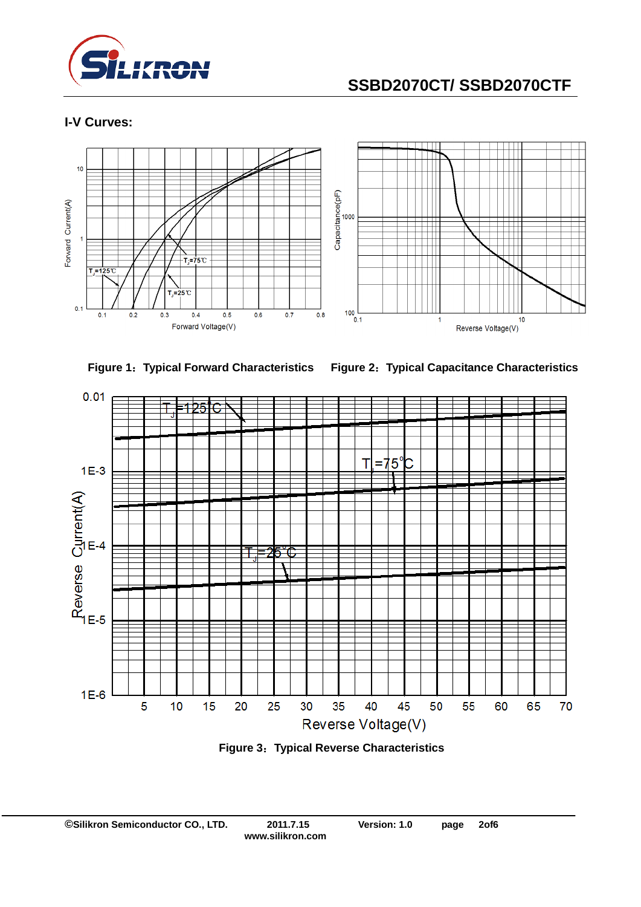

## **I-V Curves:**



**Figure 1**:**Typical Forward Characteristics Figure 2**:**Typical Capacitance Characteristics**



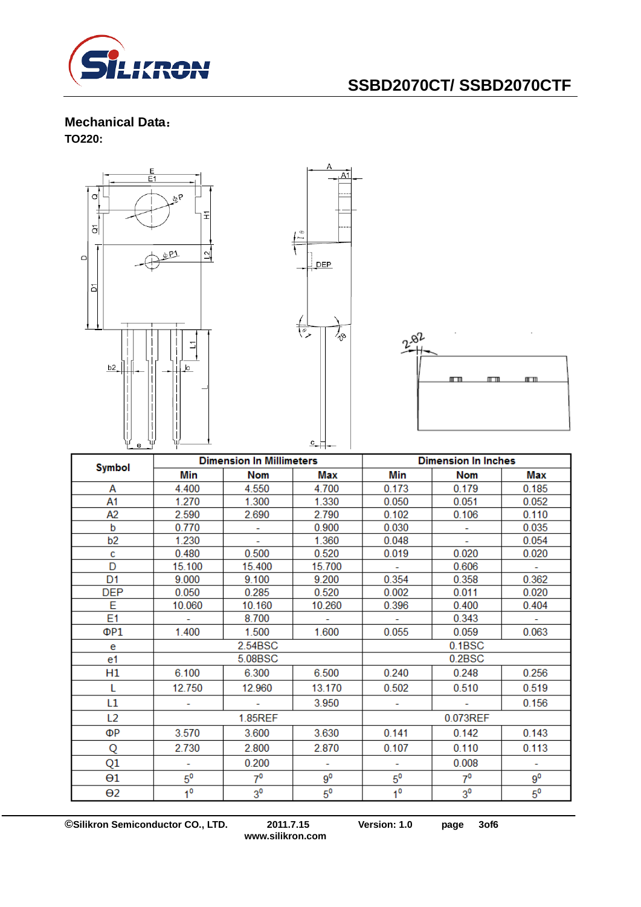

#### **Mechanical Data**: **TO220:**



**©Silikron Semiconductor CO., LTD. 2011.7.15 Version: 1.0 page 3of6**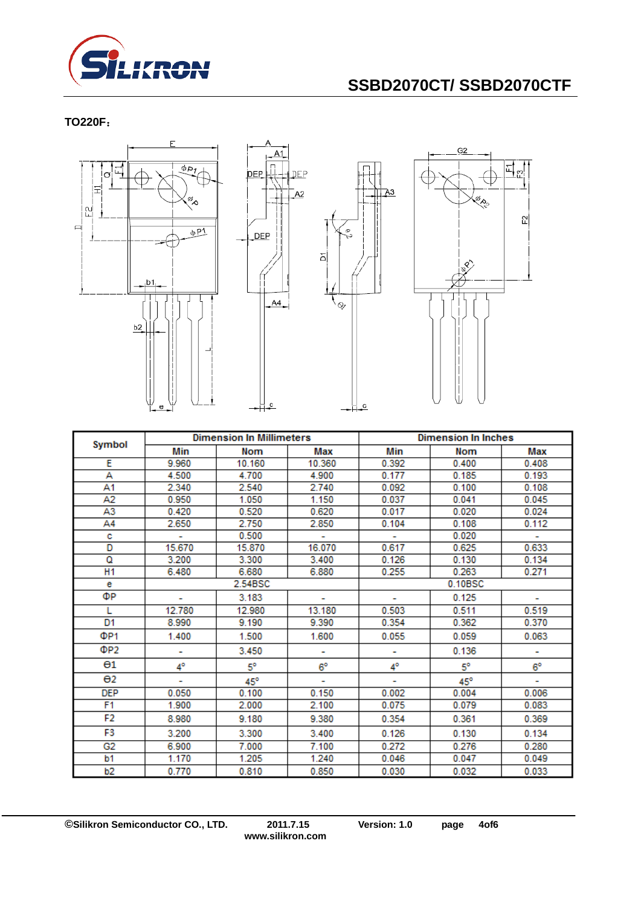

**TO220F**:



| <b>Dimension In Millimeters</b><br>Symbol |        |              | <b>Dimension In Inches</b> |         |              |             |
|-------------------------------------------|--------|--------------|----------------------------|---------|--------------|-------------|
|                                           | Min    | Nom          | Max                        | Min     | <b>Nom</b>   | Max         |
| E                                         | 9.960  | 10.160       | 10.360                     | 0.392   | 0.400        | 0.408       |
| А                                         | 4.500  | 4.700        | 4.900                      | 0.177   | 0.185        | 0.193       |
| A1                                        | 2.340  | 2.540        | 2.740                      | 0.092   | 0.100        | 0.108       |
| A2                                        | 0.950  | 1.050        | 1.150                      | 0.037   | 0.041        | 0.045       |
| A3                                        | 0.420  | 0.520        | 0.620                      | 0.017   | 0.020        | 0.024       |
| A4                                        | 2.650  | 2.750        | 2.850                      | 0.104   | 0.108        | 0.112       |
| с                                         | ÷      | 0.500        | ÷                          |         | 0.020        | ÷.          |
| D                                         | 15.670 | 15.870       | 16.070                     | 0.617   | 0.625        | 0.633       |
| Q                                         | 3.200  | 3.300        | 3.400                      | 0.126   | 0.130        | 0.134       |
| H1                                        | 6.480  | 6.680        | 6.880                      | 0.255   | 0.263        | 0.271       |
| е                                         |        | 2.54BSC      |                            | 0.10BSC |              |             |
| ΦР                                        |        | 3.183        |                            |         | 0.125        |             |
| L                                         | 12.780 | 12.980       | 13.180                     | 0.503   | 0.511        | 0.519       |
| D <sub>1</sub>                            | 8.990  | 9.190        | 9.390                      | 0.354   | 0.362        | 0.370       |
| ΦP1                                       | 1.400  | 1.500        | 1.600                      | 0.055   | 0.059        | 0.063       |
| ΦP <sub>2</sub>                           |        | 3.450        |                            |         | 0.136        |             |
| $\Theta$ 1                                | 4°     | 5°           | $6^{\circ}$                | 4°      | 5°           | $6^{\circ}$ |
| $\Theta$ <sub>2</sub>                     |        | $45^{\circ}$ |                            |         | $45^{\circ}$ |             |
| <b>DEP</b>                                | 0.050  | 0.100        | 0.150                      | 0.002   | 0.004        | 0.006       |
| F <sub>1</sub>                            | 1.900  | 2.000        | 2.100                      | 0.075   | 0.079        | 0.083       |
| F <sub>2</sub>                            | 8.980  | 9.180        | 9.380                      | 0.354   | 0.361        | 0.369       |
| F3                                        | 3.200  | 3.300        | 3.400                      | 0.126   | 0.130        | 0.134       |
| G <sub>2</sub>                            | 6.900  | 7.000        | 7.100                      | 0.272   | 0.276        | 0.280       |
| b <sub>1</sub>                            | 1.170  | 1.205        | 1.240                      | 0.046   | 0.047        | 0.049       |
| b2                                        | 0.770  | 0.810        | 0.850                      | 0.030   | 0.032        | 0.033       |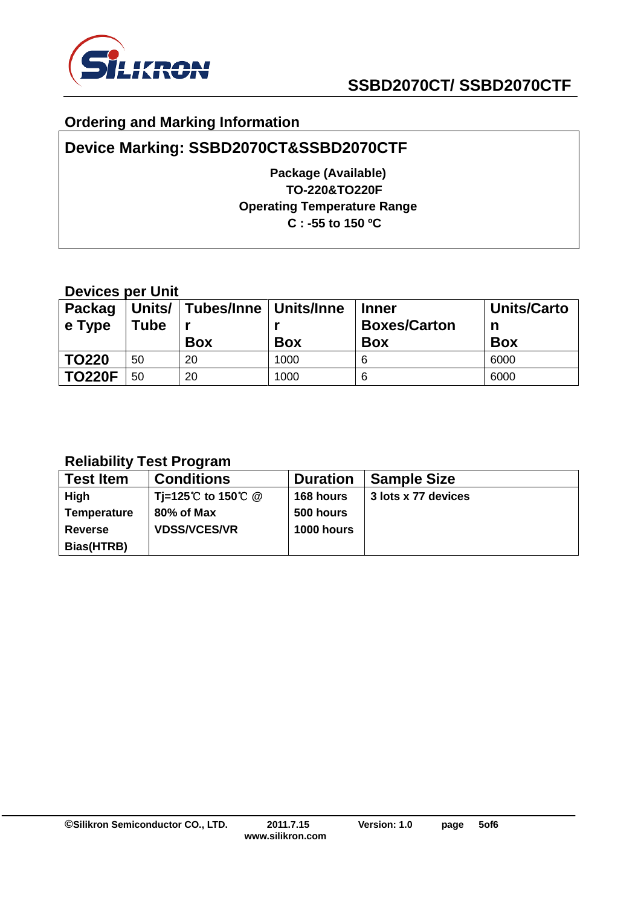

## **Ordering and Marking Information**

## **Device Marking: SSBD2070CT&SSBD2070CTF**

**Package (Available) TO-220&TO220F Operating Temperature Range C : -55 to 150 ºC**

## **Devices per Unit**

| <b>Packag</b><br>$\vert$ e Type | <b>Tube</b> | Units/   Tubes/Inne   Units/Inne<br><b>Box</b> | <b>Box</b> | <b>Inner</b><br><b>Boxes/Carton</b><br><b>Box</b> | <b>Units/Carto</b><br>n<br><b>Box</b> |
|---------------------------------|-------------|------------------------------------------------|------------|---------------------------------------------------|---------------------------------------|
| <b>TO220</b>                    | 50          | 20                                             | 1000       | 6                                                 | 6000                                  |
| <b>TO220F</b>                   | 50          | 20                                             | 1000       | 6                                                 | 6000                                  |

## **Reliability Test Program**

| <b>Test Item</b>   | <b>Conditions</b>   | <b>Duration</b>   | <b>Sample Size</b>  |
|--------------------|---------------------|-------------------|---------------------|
| High               | Ti=125℃ to 150℃ @   | 168 hours         | 3 lots x 77 devices |
| <b>Temperature</b> | 80% of Max          | 500 hours         |                     |
| <b>Reverse</b>     | <b>VDSS/VCES/VR</b> | <b>1000 hours</b> |                     |
| Bias(HTRB)         |                     |                   |                     |